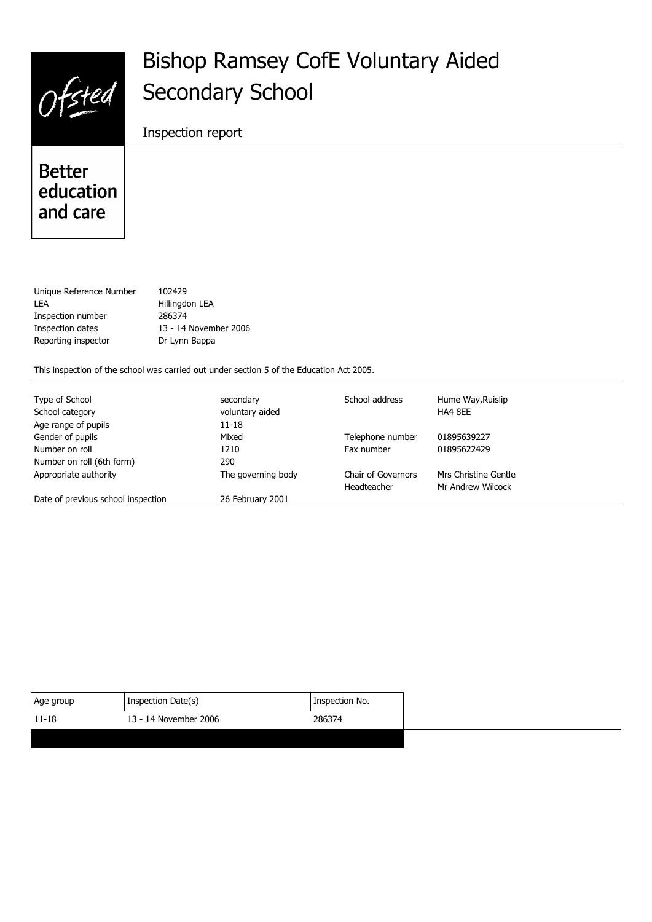# Ofsted

## **Bishop Ramsey CofE Voluntary Aided Secondary School**

Inspection report

**Better** education and care

| Unique Reference Number | 102429                |
|-------------------------|-----------------------|
| I FA                    | Hillingdon LEA        |
| Inspection number       | 286374                |
| Inspection dates        | 13 - 14 November 2006 |
| Reporting inspector     | Dr Lynn Bappa         |
|                         |                       |

This inspection of the school was carried out under section 5 of the Education Act 2005.

| Type of School                     | secondary          | School address     | Hume Way, Ruislip    |
|------------------------------------|--------------------|--------------------|----------------------|
| School category                    | voluntary aided    |                    | HA4 8EE              |
| Age range of pupils                | $11 - 18$          |                    |                      |
| Gender of pupils                   | Mixed              | Telephone number   | 01895639227          |
| Number on roll                     | 1210               | Fax number         | 01895622429          |
| Number on roll (6th form)          | 290                |                    |                      |
| Appropriate authority              | The governing body | Chair of Governors | Mrs Christine Gentle |
|                                    |                    | Headteacher        | Mr Andrew Wilcock    |
| Date of previous school inspection | 26 February 2001   |                    |                      |

| Inspection Date(s)<br>Inspection No.<br>Age group |
|---------------------------------------------------|
| $ 11 - 18$<br>13 - 14 November 2006<br>286374     |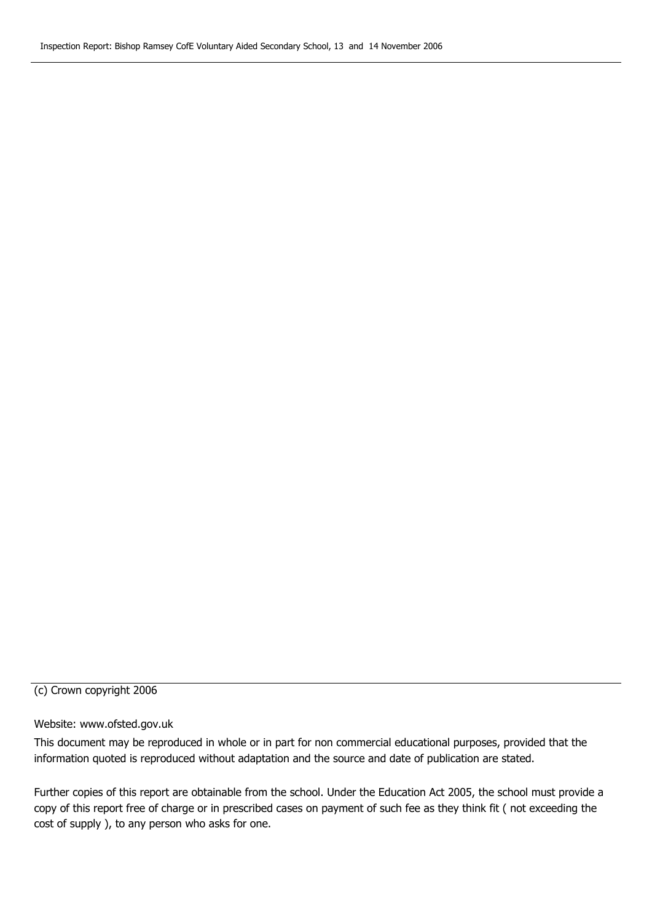#### (c) Crown copyright 2006

#### Website: www.ofsted.gov.uk

This document may be reproduced in whole or in part for non commercial educational purposes, provided that the information quoted is reproduced without adaptation and the source and date of publication are stated.

Further copies of this report are obtainable from the school. Under the Education Act 2005, the school must provide a copy of this report free of charge or in prescribed cases on payment of such fee as they think fit ( not exceeding the cost of supply ), to any person who asks for one.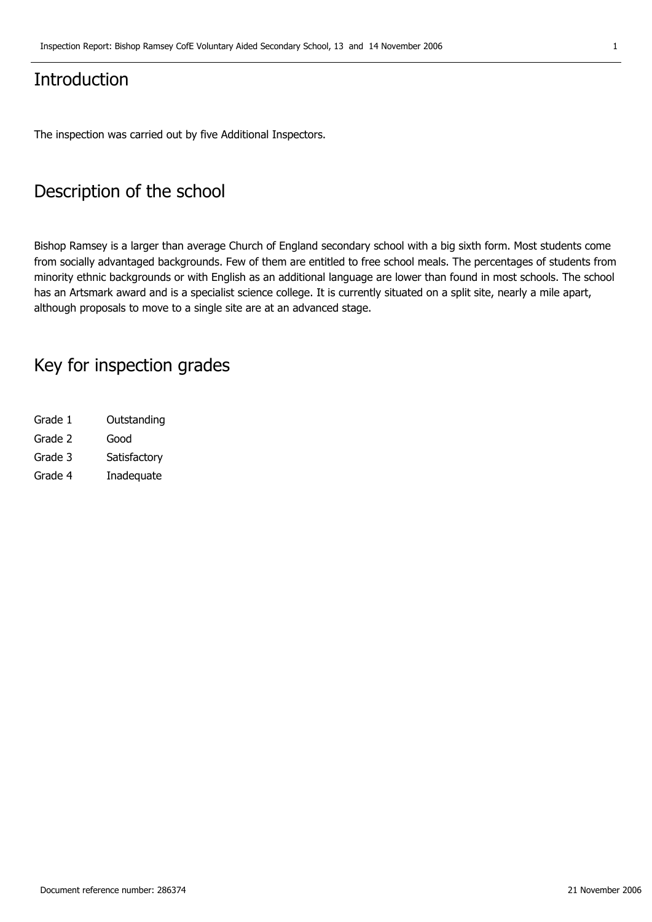## **Introduction**

The inspection was carried out by five Additional Inspectors.

## **Description of the school**

Bishop Ramsey is a larger than average Church of England secondary school with a big sixth form. Most students come from socially advantaged backgrounds. Few of them are entitled to free school meals. The percentages of students from minority ethnic backgrounds or with English as an additional language are lower than found in most schools. The school has an Artsmark award and is a specialist science college. It is currently situated on a split site, nearly a mile apart, although proposals to move to a single site are at an advanced stage.

### **Key for inspection grades**

| Grade 1 | Outstanding  |
|---------|--------------|
| Grade 2 | Good         |
| Grade 3 | Satisfactory |
| Grade 4 | Inadequate   |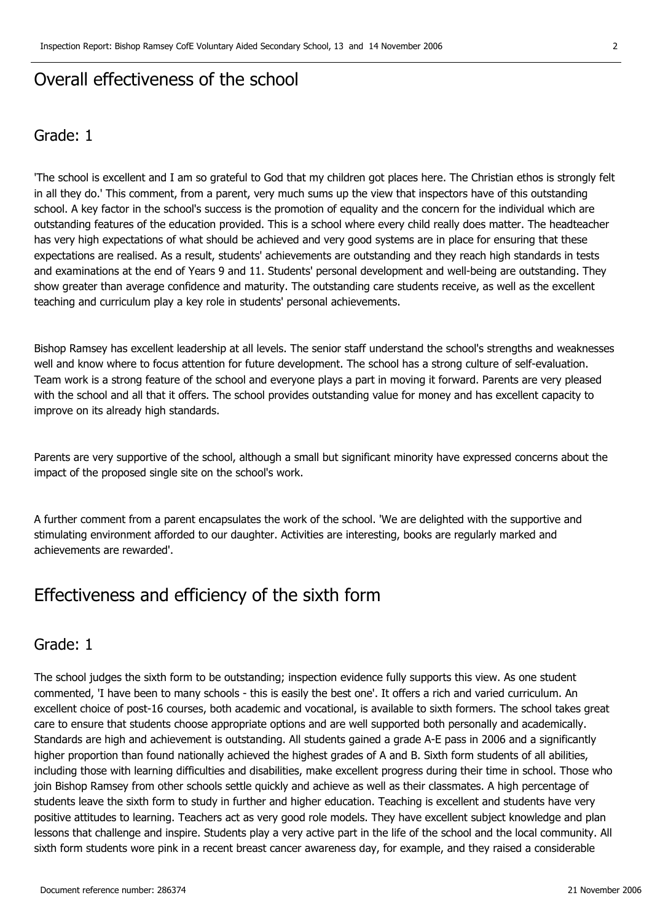## **Overall effectiveness of the school**

#### **Grade: 1**

'The school is excellent and I am so grateful to God that my children got places here. The Christian ethos is strongly felt in all they do.' This comment, from a parent, very much sums up the view that inspectors have of this outstanding school. A key factor in the school's success is the promotion of equality and the concern for the individual which are outstanding features of the education provided. This is a school where every child really does matter. The headteacher has very high expectations of what should be achieved and very good systems are in place for ensuring that these expectations are realised. As a result, students' achievements are outstanding and they reach high standards in tests and examinations at the end of Years 9 and 11. Students' personal development and well-being are outstanding. They show greater than average confidence and maturity. The outstanding care students receive, as well as the excellent teaching and curriculum play a key role in students' personal achievements.

Bishop Ramsey has excellent leadership at all levels. The senior staff understand the school's strengths and weaknesses well and know where to focus attention for future development. The school has a strong culture of self-evaluation. Team work is a strong feature of the school and everyone plays a part in moving it forward. Parents are very pleased with the school and all that it offers. The school provides outstanding value for money and has excellent capacity to improve on its already high standards.

Parents are very supportive of the school, although a small but significant minority have expressed concerns about the impact of the proposed single site on the school's work.

A further comment from a parent encapsulates the work of the school. 'We are delighted with the supportive and stimulating environment afforded to our daughter. Activities are interesting, books are regularly marked and achievements are rewarded'.

## **Effectiveness and efficiency of the sixth form**

#### **Grade: 1**

The school judges the sixth form to be outstanding; inspection evidence fully supports this view. As one student commented, 'I have been to many schools - this is easily the best one'. It offers a rich and varied curriculum. An excellent choice of post-16 courses, both academic and vocational, is available to sixth formers. The school takes great care to ensure that students choose appropriate options and are well supported both personally and academically. Standards are high and achievement is outstanding. All students gained a grade A-E pass in 2006 and a significantly higher proportion than found nationally achieved the highest grades of A and B. Sixth form students of all abilities, including those with learning difficulties and disabilities, make excellent progress during their time in school. Those who join Bishop Ramsey from other schools settle quickly and achieve as well as their classmates. A high percentage of students leave the sixth form to study in further and higher education. Teaching is excellent and students have very positive attitudes to learning. Teachers act as very good role models. They have excellent subject knowledge and plan lessons that challenge and inspire. Students play a very active part in the life of the school and the local community. All sixth form students wore pink in a recent breast cancer awareness day, for example, and they raised a considerable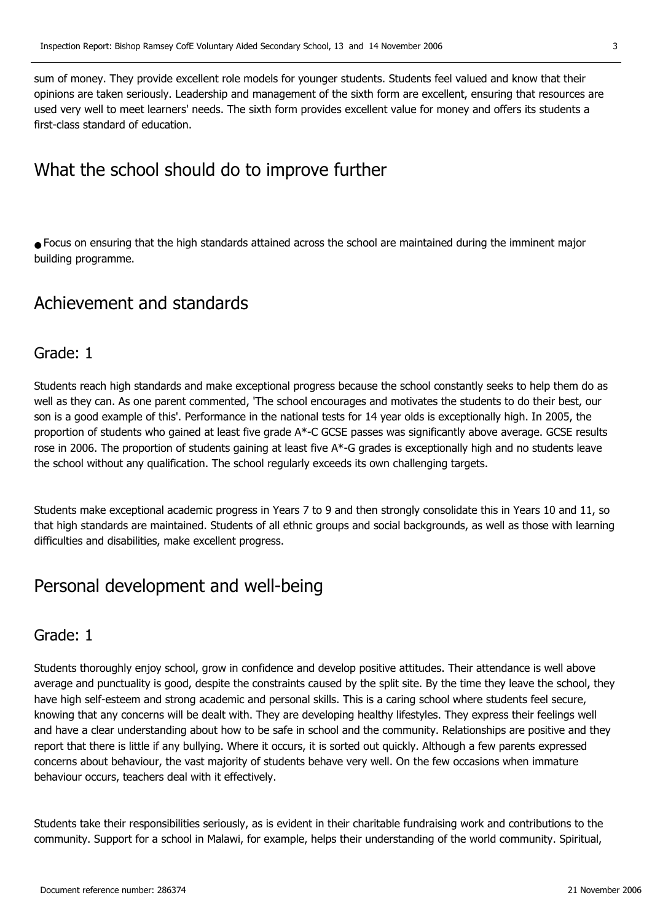sum of money. They provide excellent role models for younger students. Students feel valued and know that their opinions are taken seriously. Leadership and management of the sixth form are excellent, ensuring that resources are used very well to meet learners' needs. The sixth form provides excellent value for money and offers its students a first-class standard of education.

## **What the school should do to improve further**

● Focus on ensuring that the high standards attained across the school are maintained during the imminent major building programme.

## **Achievement and standards**

#### **Grade: 1**

Students reach high standards and make exceptional progress because the school constantly seeks to help them do as well as they can. As one parent commented, 'The school encourages and motivates the students to do their best, our son is a good example of this'. Performance in the national tests for 14 year olds is exceptionally high. In 2005, the proportion of students who gained at least five grade A\*-C GCSE passes was significantly above average. GCSE results rose in 2006. The proportion of students gaining at least five  $A^*$ -G grades is exceptionally high and no students leave the school without any qualification. The school regularly exceeds its own challenging targets.

Students make exceptional academic progress in Years 7 to 9 and then strongly consolidate this in Years 10 and 11, so that high standards are maintained. Students of all ethnic groups and social backgrounds, as well as those with learning difficulties and disabilities, make excellent progress.

## **Personal development and well-being**

#### **Grade: 1**

Students thoroughly enjoy school, grow in confidence and develop positive attitudes. Their attendance is well above average and punctuality is good, despite the constraints caused by the split site. By the time they leave the school, they have high self-esteem and strong academic and personal skills. This is a caring school where students feel secure, knowing that any concerns will be dealt with. They are developing healthy lifestyles. They express their feelings well and have a clear understanding about how to be safe in school and the community. Relationships are positive and they report that there is little if any bullying. Where it occurs, it is sorted out quickly. Although a few parents expressed concerns about behaviour, the vast majority of students behave very well. On the few occasions when immature behaviour occurs, teachers deal with it effectively.

Students take their responsibilities seriously, as is evident in their charitable fundraising work and contributions to the community. Support for a school in Malawi, for example, helps their understanding of the world community. Spiritual,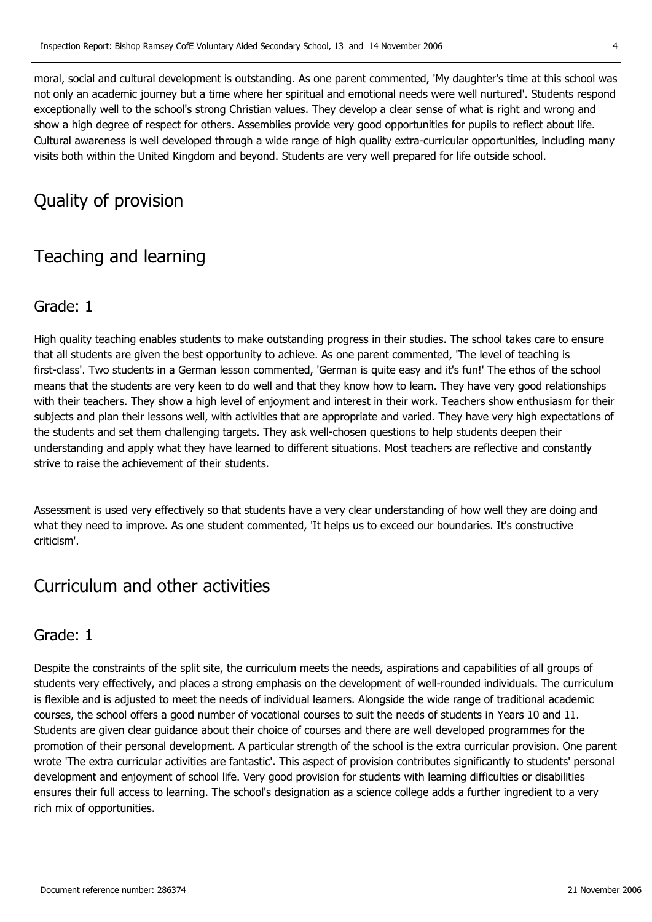moral, social and cultural development is outstanding. As one parent commented, 'My daughter's time at this school was not only an academic journey but a time where her spiritual and emotional needs were well nurtured'. Students respond exceptionally well to the school's strong Christian values. They develop a clear sense of what is right and wrong and show a high degree of respect for others. Assemblies provide very good opportunities for pupils to reflect about life. Cultural awareness is well developed through a wide range of high quality extra-curricular opportunities, including many visits both within the United Kingdom and beyond. Students are very well prepared for life outside school.

## **Quality of provision**

## **Teaching and learning**

#### **Grade: 1**

High quality teaching enables students to make outstanding progress in their studies. The school takes care to ensure that all students are given the best opportunity to achieve. As one parent commented, 'The level of teaching is first-class'. Two students in a German lesson commented, 'German is quite easy and it's fun!' The ethos of the school means that the students are very keen to do well and that they know how to learn. They have very good relationships with their teachers. They show a high level of enjoyment and interest in their work. Teachers show enthusiasm for their subjects and plan their lessons well, with activities that are appropriate and varied. They have very high expectations of the students and set them challenging targets. They ask well-chosen questions to help students deepen their understanding and apply what they have learned to different situations. Most teachers are reflective and constantly strive to raise the achievement of their students.

Assessment is used very effectively so that students have a very clear understanding of how well they are doing and what they need to improve. As one student commented, 'It helps us to exceed our boundaries. It's constructive criticism'.

## **Curriculum and other activities**

#### **Grade: 1**

Despite the constraints of the split site, the curriculum meets the needs, aspirations and capabilities of all groups of students very effectively, and places a strong emphasis on the development of well-rounded individuals. The curriculum is flexible and is adjusted to meet the needs of individual learners. Alongside the wide range of traditional academic courses, the school offers a good number of vocational courses to suit the needs of students in Years 10 and 11. Students are given clear guidance about their choice of courses and there are well developed programmes for the promotion of their personal development. A particular strength of the school is the extra curricular provision. One parent wrote 'The extra curricular activities are fantastic'. This aspect of provision contributes significantly to students' personal development and enjoyment of school life. Very good provision for students with learning difficulties or disabilities ensures their full access to learning. The school's designation as a science college adds a further ingredient to a very rich mix of opportunities.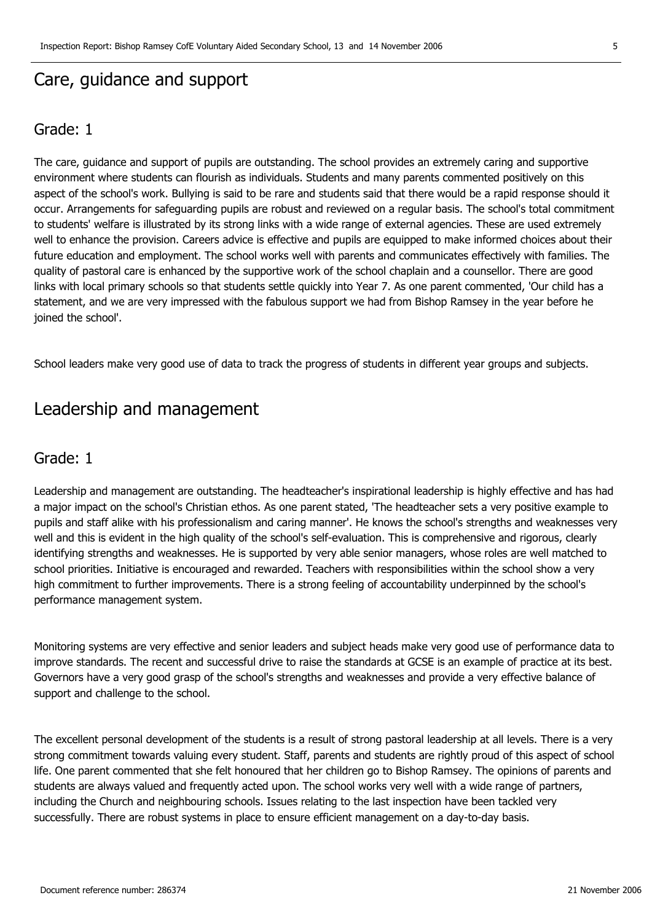## **Care, guidance and support**

#### **Grade: 1**

The care, guidance and support of pupils are outstanding. The school provides an extremely caring and supportive environment where students can flourish as individuals. Students and many parents commented positively on this aspect of the school's work. Bullying is said to be rare and students said that there would be a rapid response should it occur. Arrangements for safeguarding pupils are robust and reviewed on a regular basis. The school's total commitment to students' welfare is illustrated by its strong links with a wide range of external agencies. These are used extremely well to enhance the provision. Careers advice is effective and pupils are equipped to make informed choices about their future education and employment. The school works well with parents and communicates effectively with families. The quality of pastoral care is enhanced by the supportive work of the school chaplain and a counsellor. There are good links with local primary schools so that students settle quickly into Year 7. As one parent commented, 'Our child has a statement, and we are very impressed with the fabulous support we had from Bishop Ramsey in the year before he joined the school'.

School leaders make very good use of data to track the progress of students in different year groups and subjects.

### **Leadership and management**

#### **Grade: 1**

Leadership and management are outstanding. The headteacher's inspirational leadership is highly effective and has had a major impact on the school's Christian ethos. As one parent stated, 'The headteacher sets a very positive example to pupils and staff alike with his professionalism and caring manner'. He knows the school's strengths and weaknesses very well and this is evident in the high quality of the school's self-evaluation. This is comprehensive and rigorous, clearly identifying strengths and weaknesses. He is supported by very able senior managers, whose roles are well matched to school priorities. Initiative is encouraged and rewarded. Teachers with responsibilities within the school show a very high commitment to further improvements. There is a strong feeling of accountability underpinned by the school's performance management system.

Monitoring systems are very effective and senior leaders and subject heads make very good use of performance data to improve standards. The recent and successful drive to raise the standards at GCSE is an example of practice at its best. Governors have a very good grasp of the school's strengths and weaknesses and provide a very effective balance of support and challenge to the school.

The excellent personal development of the students is a result of strong pastoral leadership at all levels. There is a very strong commitment towards valuing every student. Staff, parents and students are rightly proud of this aspect of school life. One parent commented that she felt honoured that her children go to Bishop Ramsey. The opinions of parents and students are always valued and frequently acted upon. The school works very well with a wide range of partners, including the Church and neighbouring schools. Issues relating to the last inspection have been tackled very successfully. There are robust systems in place to ensure efficient management on a day-to-day basis.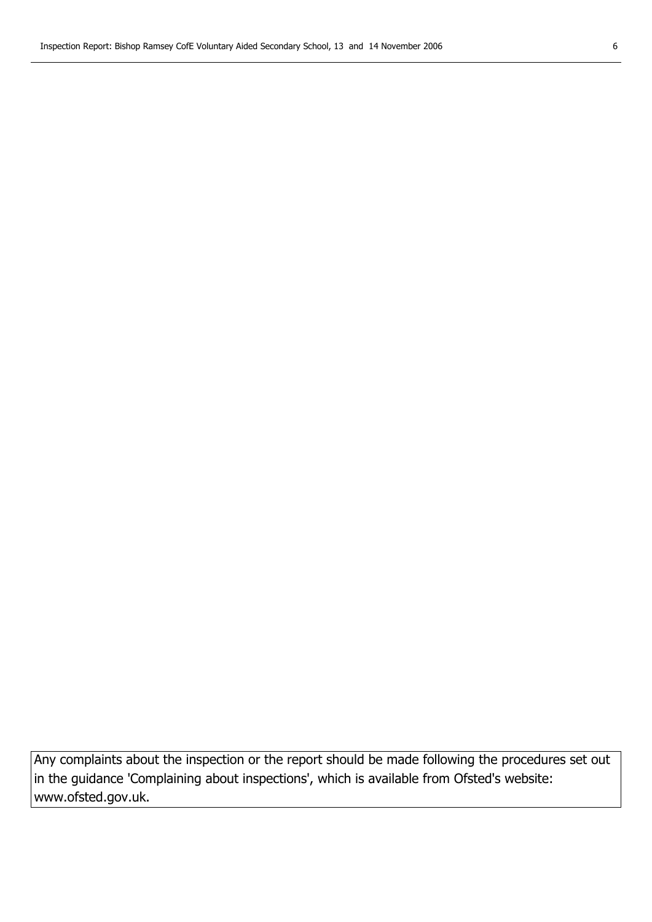**Any complaints about the inspection or the report should be made following the procedures set out in the guidance 'Complaining about inspections', which is available from Ofsted's website: www.ofsted.gov.uk.**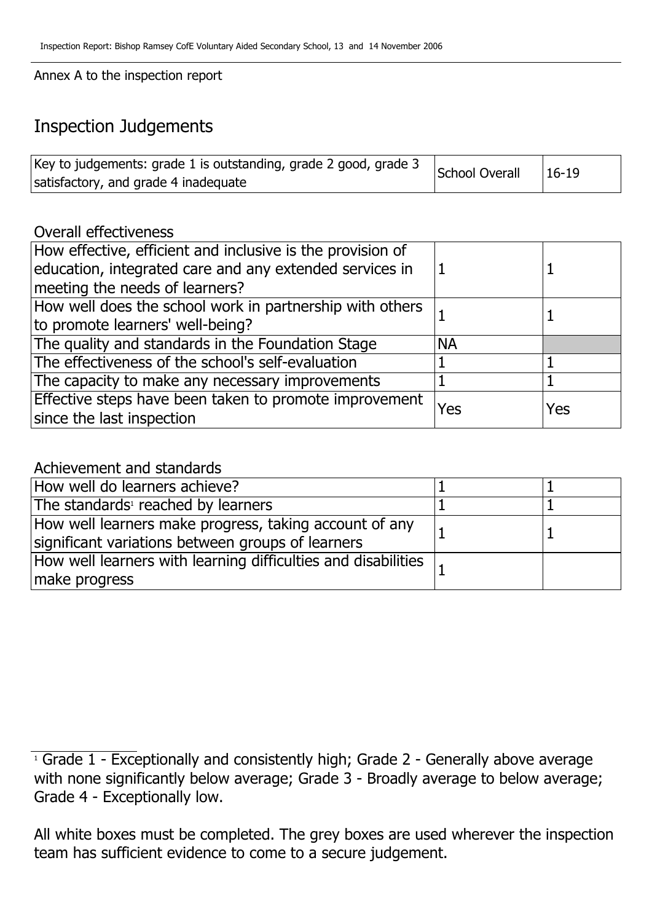**Annex A to the inspection report**

## **Inspection Judgements**

| Key to judgements: grade 1 is outstanding, grade 2 good, grade 3 | School Overall | $16-19$ |
|------------------------------------------------------------------|----------------|---------|
| satisfactory, and grade 4 inadequate                             |                |         |

#### **Overall effectiveness**

| How effective, efficient and inclusive is the provision of<br>education, integrated care and any extended services in |           |     |
|-----------------------------------------------------------------------------------------------------------------------|-----------|-----|
| meeting the needs of learners?                                                                                        |           |     |
| How well does the school work in partnership with others                                                              |           |     |
| to promote learners' well-being?                                                                                      |           |     |
| The quality and standards in the Foundation Stage                                                                     | <b>NA</b> |     |
| The effectiveness of the school's self-evaluation                                                                     |           |     |
| The capacity to make any necessary improvements                                                                       |           |     |
| Effective steps have been taken to promote improvement                                                                | Yes       | Yes |
| since the last inspection                                                                                             |           |     |

#### **Achievement and standards**

| How well do learners achieve?                                                                               |  |
|-------------------------------------------------------------------------------------------------------------|--|
| The standards <sup>1</sup> reached by learners                                                              |  |
| How well learners make progress, taking account of any<br>significant variations between groups of learners |  |
| How well learners with learning difficulties and disabilities $\vert$ ,<br>make progress                    |  |

**<sup>1</sup> Grade 1 - Exceptionally and consistently high; Grade 2 - Generally above average with none significantly below average; Grade 3 - Broadly average to below average; Grade 4 - Exceptionally low.**

**All white boxes must be completed. The grey boxes are used wherever the inspection team has sufficient evidence to come to a secure judgement.**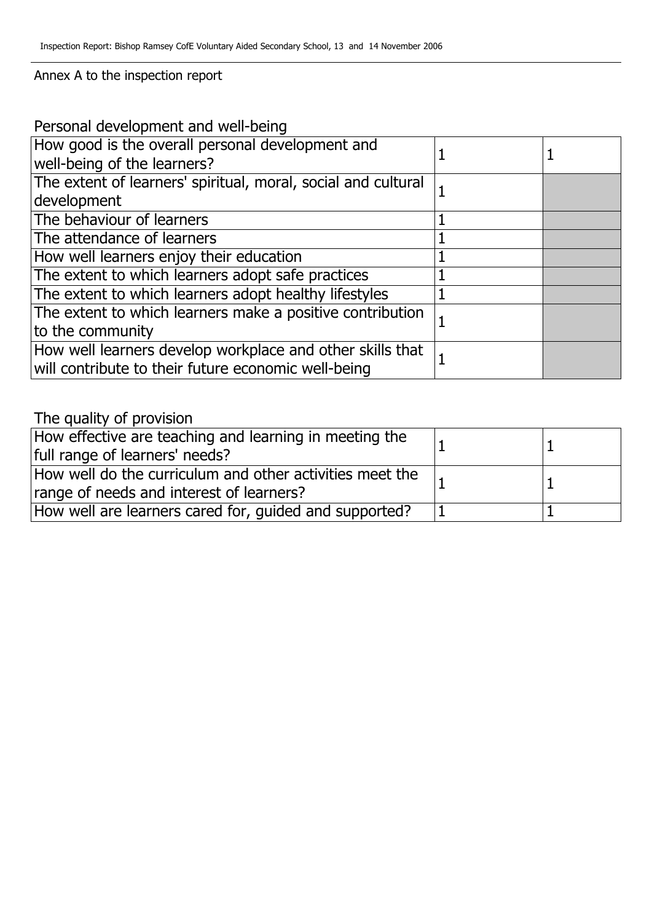#### **Annex A to the inspection report**

| Personal development and well-being                           |  |  |
|---------------------------------------------------------------|--|--|
| How good is the overall personal development and              |  |  |
| well-being of the learners?                                   |  |  |
| The extent of learners' spiritual, moral, social and cultural |  |  |
| development                                                   |  |  |
| The behaviour of learners                                     |  |  |
| The attendance of learners                                    |  |  |
| How well learners enjoy their education                       |  |  |
| The extent to which learners adopt safe practices             |  |  |
| The extent to which learners adopt healthy lifestyles         |  |  |
| The extent to which learners make a positive contribution     |  |  |
| to the community                                              |  |  |
| How well learners develop workplace and other skills that     |  |  |
| will contribute to their future economic well-being           |  |  |

## **The quality of provision**

| How effective are teaching and learning in meeting the<br>full range of learners' needs?             |  |
|------------------------------------------------------------------------------------------------------|--|
| How well do the curriculum and other activities meet the<br>range of needs and interest of learners? |  |
| How well are learners cared for, guided and supported?                                               |  |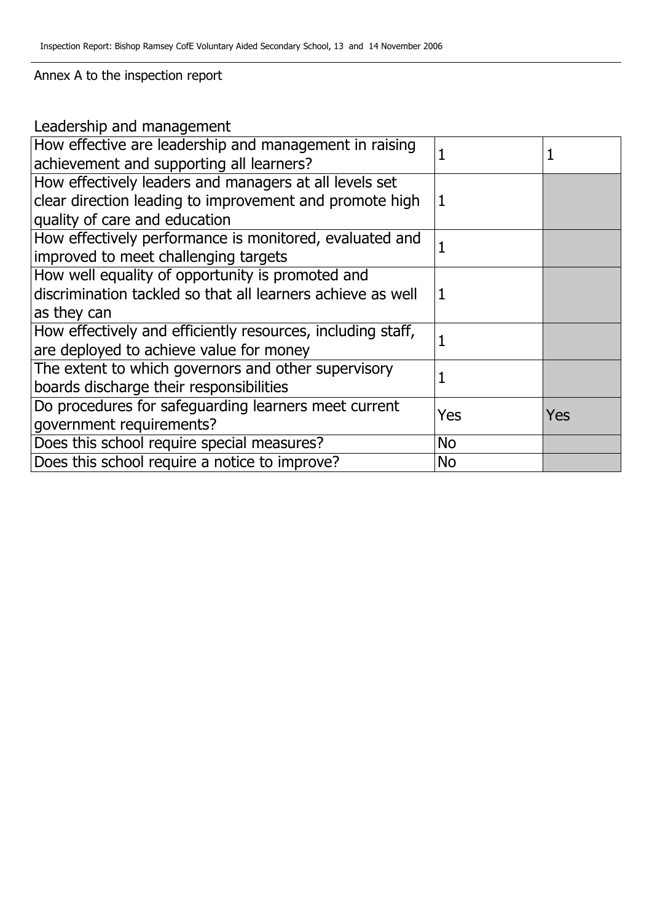**Annex A to the inspection report**

**Leadership and management**

| How effective are leadership and management in raising<br>achievement and supporting all learners? |           |            |
|----------------------------------------------------------------------------------------------------|-----------|------------|
| How effectively leaders and managers at all levels set                                             |           |            |
| clear direction leading to improvement and promote high                                            | 1         |            |
| quality of care and education                                                                      |           |            |
| How effectively performance is monitored, evaluated and                                            |           |            |
| improved to meet challenging targets                                                               |           |            |
| How well equality of opportunity is promoted and                                                   |           |            |
| discrimination tackled so that all learners achieve as well                                        | 1         |            |
| as they can                                                                                        |           |            |
| How effectively and efficiently resources, including staff,                                        |           |            |
| are deployed to achieve value for money                                                            |           |            |
| The extent to which governors and other supervisory                                                |           |            |
| boards discharge their responsibilities                                                            |           |            |
| Do procedures for safeguarding learners meet current                                               | Yes       | <b>Yes</b> |
| government requirements?                                                                           |           |            |
| Does this school require special measures?                                                         | <b>No</b> |            |
| Does this school require a notice to improve?                                                      | <b>No</b> |            |